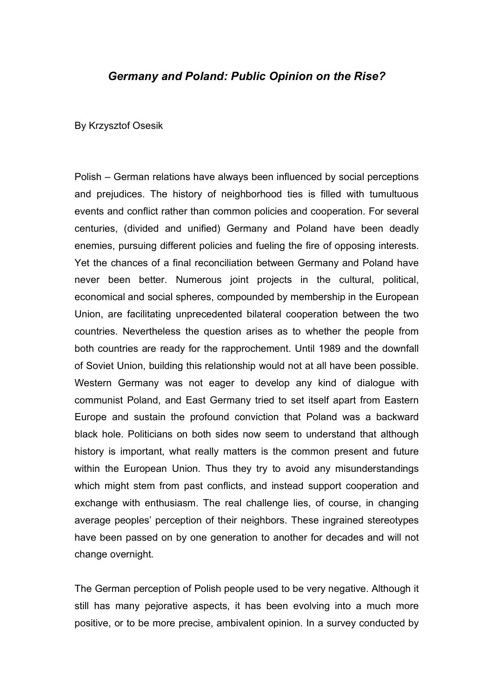## *Germany and Poland: Public Opinion on the Rise?*

By Krzysztof Osesik

Polish – German relations have always been influenced by social perceptions and prejudices. The history of neighborhood ties is filled with tumultuous events and conflict rather than common policies and cooperation. For several centuries, (divided and unified) Germany and Poland have been deadly enemies, pursuing different policies and fueling the fire of opposing interests. Yet the chances of a final reconciliation between Germany and Poland have never been better. Numerous joint projects in the cultural, political, economical and social spheres, compounded by membership in the European Union, are facilitating unprecedented bilateral cooperation between the two countries. Nevertheless the question arises as to whether the people from both countries are ready for the rapprochement. Until 1989 and the downfall of Soviet Union, building this relationship would not at all have been possible. Western Germany was not eager to develop any kind of dialogue with communist Poland, and East Germany tried to set itself apart from Eastern Europe and sustain the profound conviction that Poland was a backward black hole. Politicians on both sides now seem to understand that although history is important, what really matters is the common present and future within the European Union. Thus they try to avoid any misunderstandings which might stem from past conflicts, and instead support cooperation and exchange with enthusiasm. The real challenge lies, of course, in changing average peoples' perception of their neighbors. These ingrained stereotypes have been passed on by one generation to another for decades and will not change overnight.

The German perception of Polish people used to be very negative. Although it still has many pejorative aspects, it has been evolving into a much more positive, or to be more precise, ambivalent opinion. In a survey conducted by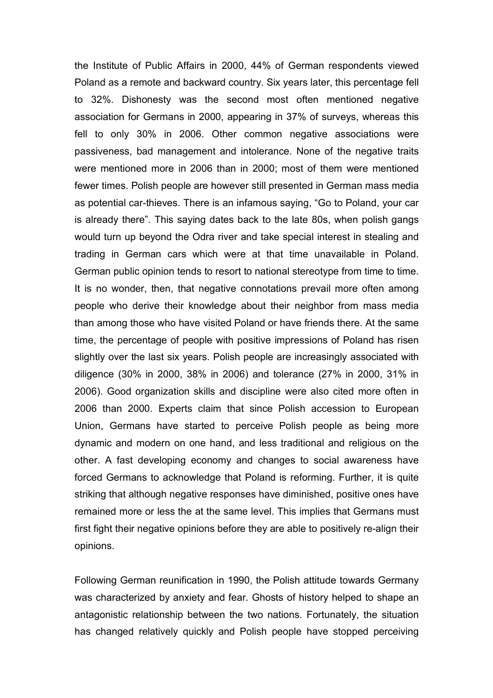the Institute of Public Affairs in 2000, 44% of German respondents viewed Poland as a remote and backward country. Six years later, this percentage fell to 32%. Dishonesty was the second most often mentioned negative association for Germans in 2000, appearing in 37% of surveys, whereas this fell to only 30% in 2006. Other common negative associations were passiveness, bad management and intolerance. None of the negative traits were mentioned more in 2006 than in 2000; most of them were mentioned fewer times. Polish people are however still presented in German mass media as potential car-thieves. There is an infamous saying, "Go to Poland, your car is already there". This saying dates back to the late 80s, when polish gangs would turn up beyond the Odra river and take special interest in stealing and trading in German cars which were at that time unavailable in Poland. German public opinion tends to resort to national stereotype from time to time. It is no wonder, then, that negative connotations prevail more often among people who derive their knowledge about their neighbor from mass media than among those who have visited Poland or have friends there. At the same time, the percentage of people with positive impressions of Poland has risen slightly over the last six years. Polish people are increasingly associated with diligence (30% in 2000, 38% in 2006) and tolerance (27% in 2000, 31% in 2006). Good organization skills and discipline were also cited more often in 2006 than 2000. Experts claim that since Polish accession to European Union, Germans have started to perceive Polish people as being more dynamic and modern on one hand, and less traditional and religious on the other. A fast developing economy and changes to social awareness have forced Germans to acknowledge that Poland is reforming. Further, it is quite striking that although negative responses have diminished, positive ones have remained more or less the at the same level. This implies that Germans must first fight their negative opinions before they are able to positively re-align their opinions.

Following German reunification in 1990, the Polish attitude towards Germany was characterized by anxiety and fear. Ghosts of history helped to shape an antagonistic relationship between the two nations. Fortunately, the situation has changed relatively quickly and Polish people have stopped perceiving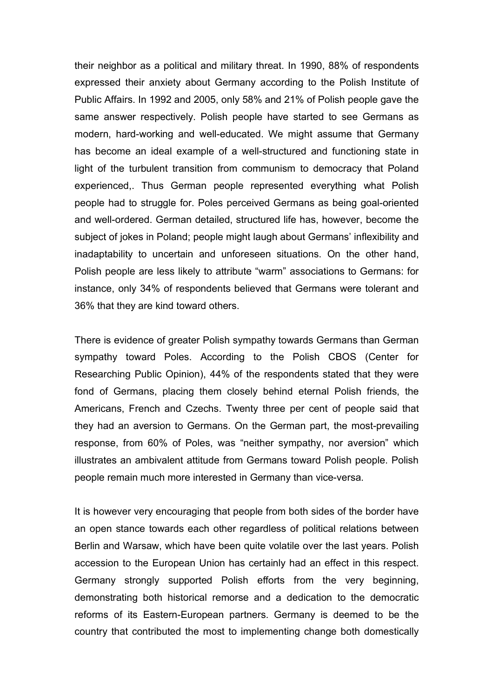their neighbor as a political and military threat. In 1990, 88% of respondents expressed their anxiety about Germany according to the Polish Institute of Public Affairs. In 1992 and 2005, only 58% and 21% of Polish people gave the same answer respectively. Polish people have started to see Germans as modern, hard-working and well-educated. We might assume that Germany has become an ideal example of a well-structured and functioning state in light of the turbulent transition from communism to democracy that Poland experienced,. Thus German people represented everything what Polish people had to struggle for. Poles perceived Germans as being goal-oriented and well-ordered. German detailed, structured life has, however, become the subject of jokes in Poland; people might laugh about Germans' inflexibility and inadaptability to uncertain and unforeseen situations. On the other hand, Polish people are less likely to attribute "warm" associations to Germans: for instance, only 34% of respondents believed that Germans were tolerant and 36% that they are kind toward others.

There is evidence of greater Polish sympathy towards Germans than German sympathy toward Poles. According to the Polish CBOS (Center for Researching Public Opinion), 44% of the respondents stated that they were fond of Germans, placing them closely behind eternal Polish friends, the Americans, French and Czechs. Twenty three per cent of people said that they had an aversion to Germans. On the German part, the most-prevailing response, from 60% of Poles, was "neither sympathy, nor aversion" which illustrates an ambivalent attitude from Germans toward Polish people. Polish people remain much more interested in Germany than vice-versa.

It is however very encouraging that people from both sides of the border have an open stance towards each other regardless of political relations between Berlin and Warsaw, which have been quite volatile over the last years. Polish accession to the European Union has certainly had an effect in this respect. Germany strongly supported Polish efforts from the very beginning, demonstrating both historical remorse and a dedication to the democratic reforms of its Eastern-European partners. Germany is deemed to be the country that contributed the most to implementing change both domestically